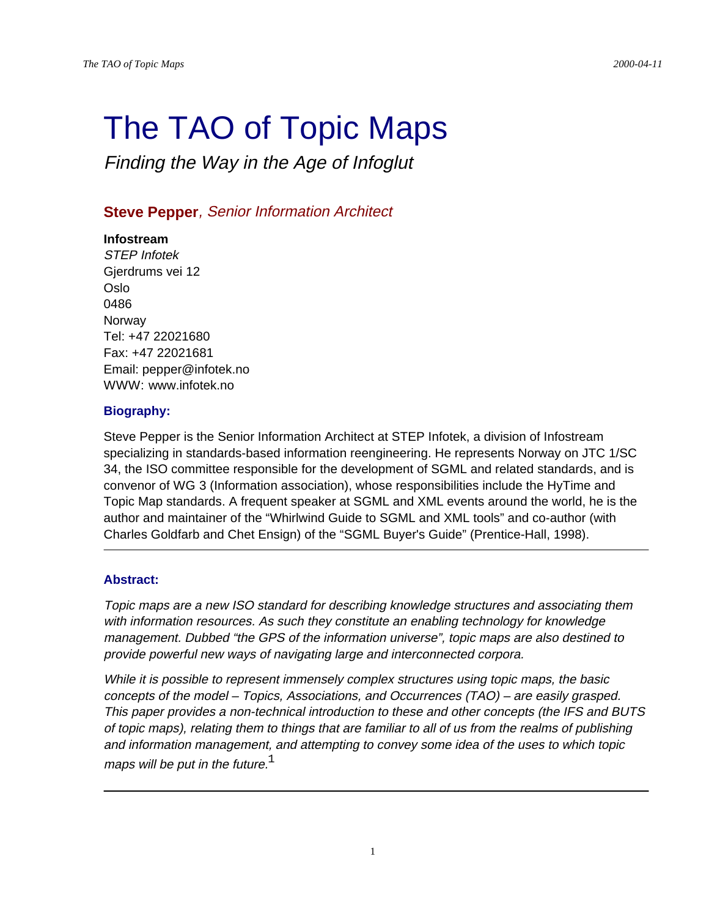# The TAO of Topic Maps

Finding the Way in the Age of Infoglut

## **Steve Pepper**, Senior Information Architect

## **Infostream**

STEP Infotek Gjerdrums vei 12 Oslo 0486 **Norway** Tel: +47 22021680 Fax: +47 22021681 Email: pepper@infotek.no WWW: www.infotek.no

## **Biography:**

Steve Pepper is the Senior Information Architect at STEP Infotek, a division of Infostream specializing in standards-based information reengineering. He represents Norway on JTC 1/SC 34, the ISO committee responsible for the development of SGML and related standards, and is convenor of WG 3 (Information association), whose responsibilities include the HyTime and Topic Map standards. A frequent speaker at SGML and XML events around the world, he is the author and maintainer of the "Whirlwind Guide to SGML and XML tools" and co-author (with Charles Goldfarb and Chet Ensign) of the "SGML Buyer's Guide" (Prentice-Hall, 1998).

## **Abstract:**

Topic maps are a new ISO standard for describing knowledge structures and associating them with information resources. As such they constitute an enabling technology for knowledge management. Dubbed "the GPS of the information universe", topic maps are also destined to provide powerful new ways of navigating large and interconnected corpora.

While it is possible to represent immensely complex structures using topic maps, the basic concepts of the model – Topics, Associations, and Occurrences (TAO) – are easily grasped. This paper provides a non-technical introduction to these and other concepts (the IFS and BUTS of topic maps), relating them to things that are familiar to all of us from the realms of publishing and information management, and attempting to convey some idea of the uses to which topic maps will be put in the future. $<sup>1</sup>$ </sup>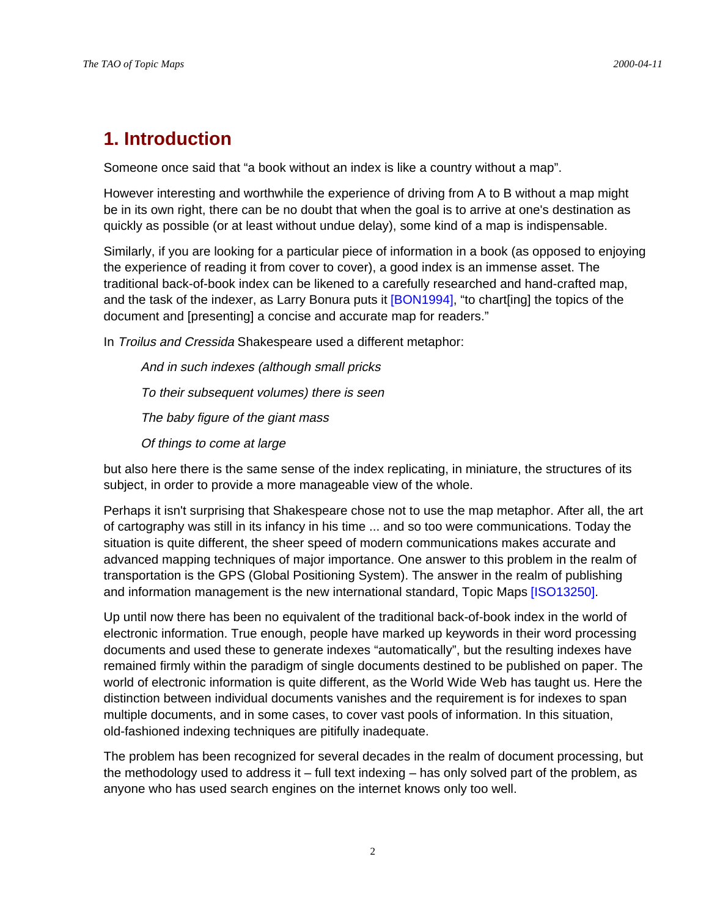# **1. Introduction**

Someone once said that "a book without an index is like a country without a map".

However interesting and worthwhile the experience of driving from A to B without a map might be in its own right, there can be no doubt that when the goal is to arrive at one's destination as quickly as possible (or at least without undue delay), some kind of a map is indispensable.

Similarly, if you are looking for a particular piece of information in a book (as opposed to enjoying the experience of reading it from cover to cover), a good index is an immense asset. The traditional back-of-book index can be likened to a carefully researched and hand-crafted map, and the task of the indexer, as Larry Bonura puts it [BON1994], "to chart[ing] the topics of the document and [presenting] a concise and accurate map for readers."

In Troilus and Cressida Shakespeare used a different metaphor:

And in such indexes (although small pricks To their subsequent volumes) there is seen The baby figure of the giant mass Of things to come at large

but also here there is the same sense of the index replicating, in miniature, the structures of its subject, in order to provide a more manageable view of the whole.

Perhaps it isn't surprising that Shakespeare chose not to use the map metaphor. After all, the art of cartography was still in its infancy in his time ... and so too were communications. Today the situation is quite different, the sheer speed of modern communications makes accurate and advanced mapping techniques of major importance. One answer to this problem in the realm of transportation is the GPS (Global Positioning System). The answer in the realm of publishing and information management is the new international standard, Topic Maps [ISO13250].

Up until now there has been no equivalent of the traditional back-of-book index in the world of electronic information. True enough, people have marked up keywords in their word processing documents and used these to generate indexes "automatically", but the resulting indexes have remained firmly within the paradigm of single documents destined to be published on paper. The world of electronic information is quite different, as the World Wide Web has taught us. Here the distinction between individual documents vanishes and the requirement is for indexes to span multiple documents, and in some cases, to cover vast pools of information. In this situation, old-fashioned indexing techniques are pitifully inadequate.

The problem has been recognized for several decades in the realm of document processing, but the methodology used to address it – full text indexing – has only solved part of the problem, as anyone who has used search engines on the internet knows only too well.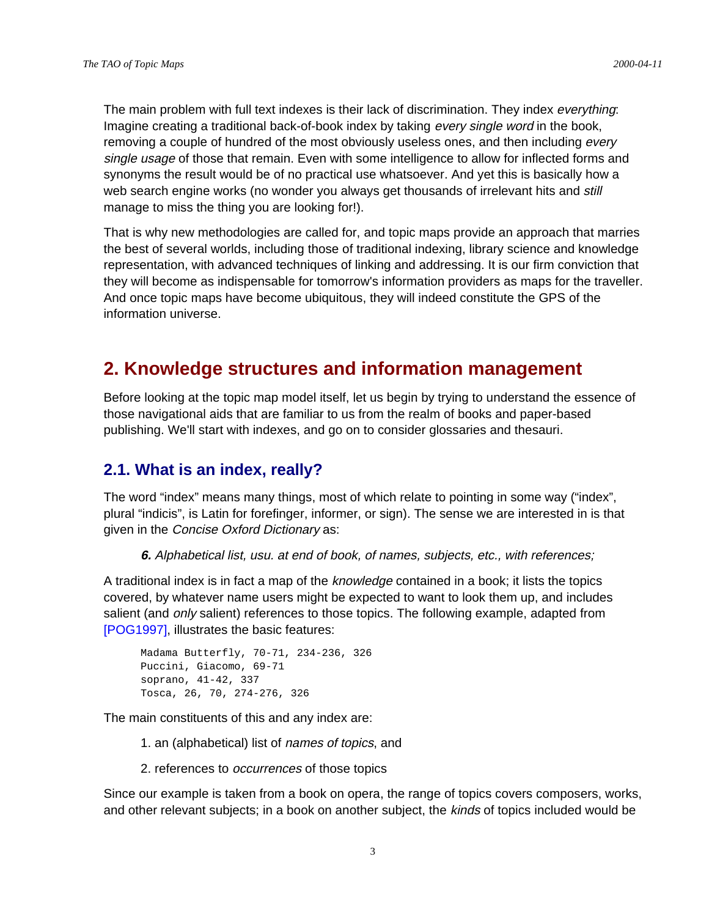The main problem with full text indexes is their lack of discrimination. They index everything: Imagine creating a traditional back-of-book index by taking every single word in the book, removing a couple of hundred of the most obviously useless ones, and then including every single usage of those that remain. Even with some intelligence to allow for inflected forms and synonyms the result would be of no practical use whatsoever. And yet this is basically how a web search engine works (no wonder you always get thousands of irrelevant hits and still manage to miss the thing you are looking for!).

That is why new methodologies are called for, and topic maps provide an approach that marries the best of several worlds, including those of traditional indexing, library science and knowledge representation, with advanced techniques of linking and addressing. It is our firm conviction that they will become as indispensable for tomorrow's information providers as maps for the traveller. And once topic maps have become ubiquitous, they will indeed constitute the GPS of the information universe.

# **2. Knowledge structures and information management**

Before looking at the topic map model itself, let us begin by trying to understand the essence of those navigational aids that are familiar to us from the realm of books and paper-based publishing. We'll start with indexes, and go on to consider glossaries and thesauri.

## **2.1. What is an index, really?**

The word "index" means many things, most of which relate to pointing in some way ("index", plural "indicis", is Latin for forefinger, informer, or sign). The sense we are interested in is that given in the Concise Oxford Dictionary as:

**6.** Alphabetical list, usu. at end of book, of names, subjects, etc., with references;

A traditional index is in fact a map of the *knowledge* contained in a book; it lists the topics covered, by whatever name users might be expected to want to look them up, and includes salient (and *only* salient) references to those topics. The following example, adapted from [POG1997], illustrates the basic features:

```
Madama Butterfly, 70-71, 234-236, 326
Puccini, Giacomo, 69-71
soprano, 41-42, 337
Tosca, 26, 70, 274-276, 326
```
The main constituents of this and any index are:

- 1. an (alphabetical) list of names of topics, and
- 2. references to occurrences of those topics

Since our example is taken from a book on opera, the range of topics covers composers, works, and other relevant subjects; in a book on another subject, the kinds of topics included would be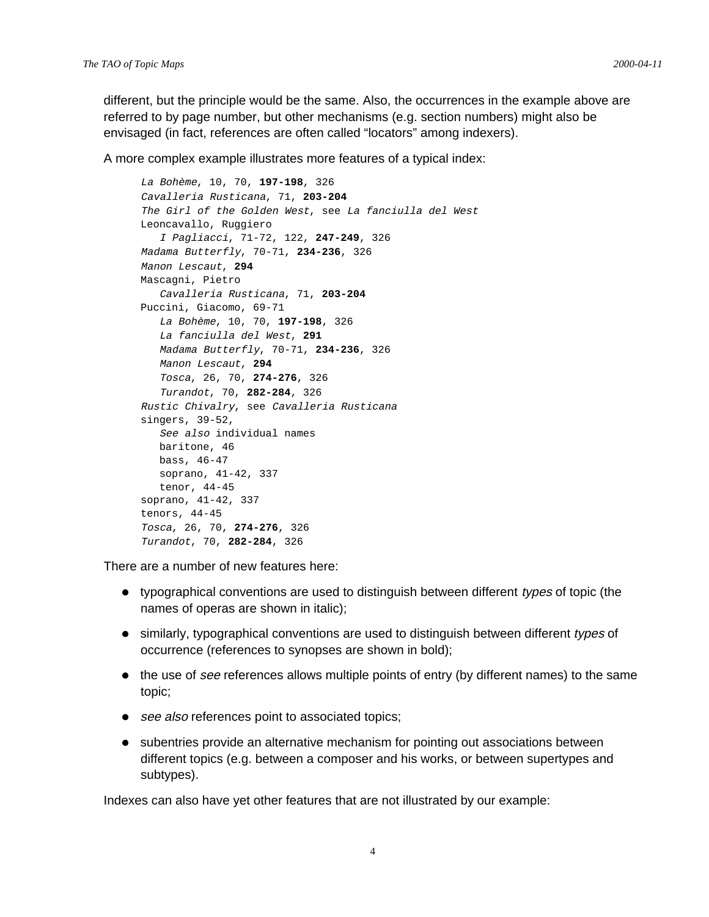different, but the principle would be the same. Also, the occurrences in the example above are referred to by page number, but other mechanisms (e.g. section numbers) might also be envisaged (in fact, references are often called "locators" among indexers).

A more complex example illustrates more features of a typical index:

```
La Bohème, 10, 70, 197-198, 326
Cavalleria Rusticana, 71, 203-204
The Girl of the Golden West, see La fanciulla del West
Leoncavallo, Ruggiero
    I Pagliacci, 71-72, 122, 247-249, 326
Madama Butterfly, 70-71, 234-236, 326
Manon Lescaut, 294
Mascagni, Pietro
    Cavalleria Rusticana, 71, 203-204
Puccini, Giacomo, 69-71
   La Bohème, 10, 70, 197-198, 326
    La fanciulla del West, 291
   Madama Butterfly, 70-71, 234-236, 326
   Manon Lescaut, 294
   Tosca, 26, 70, 274-276, 326
    Turandot, 70, 282-284, 326
Rustic Chivalry, see Cavalleria Rusticana
singers, 39-52,
    See also individual names
   baritone, 46
   bass, 46-47
   soprano, 41-42, 337
   tenor, 44-45
soprano, 41-42, 337
tenors, 44-45
Tosca, 26, 70, 274-276, 326
Turandot, 70, 282-284, 326
```
There are a number of new features here:

- typographical conventions are used to distinguish between different types of topic (the names of operas are shown in italic);
- similarly, typographical conventions are used to distinguish between different types of occurrence (references to synopses are shown in bold);
- the use of see references allows multiple points of entry (by different names) to the same topic;
- see also references point to associated topics;
- subentries provide an alternative mechanism for pointing out associations between different topics (e.g. between a composer and his works, or between supertypes and subtypes).

Indexes can also have yet other features that are not illustrated by our example: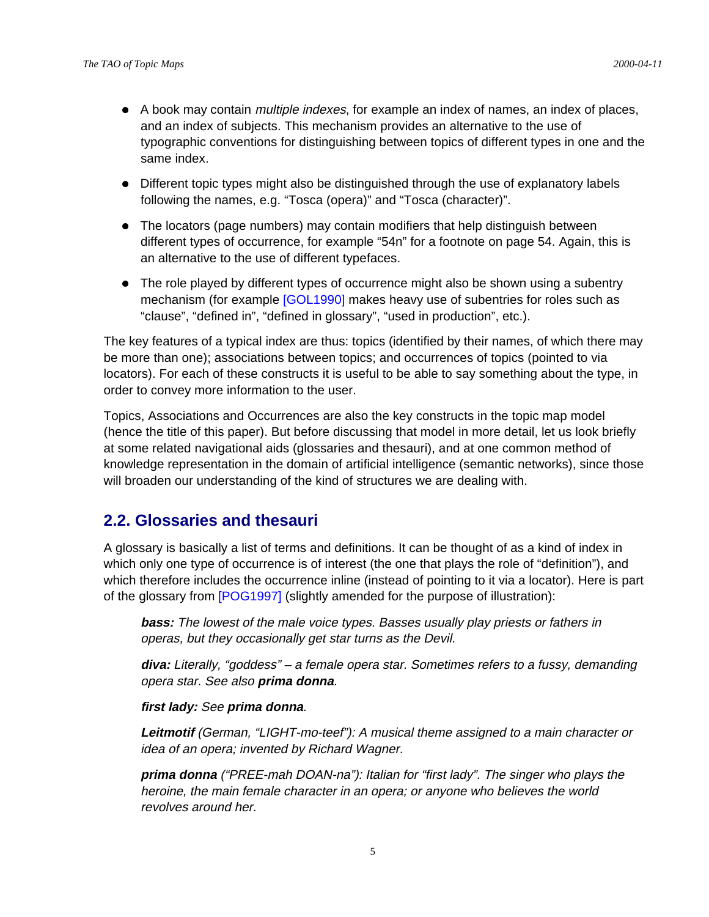- A book may contain *multiple indexes*, for example an index of names, an index of places, and an index of subjects. This mechanism provides an alternative to the use of typographic conventions for distinguishing between topics of different types in one and the same index.
- Different topic types might also be distinguished through the use of explanatory labels following the names, e.g. "Tosca (opera)" and "Tosca (character)".
- The locators (page numbers) may contain modifiers that help distinguish between different types of occurrence, for example "54n" for a footnote on page 54. Again, this is an alternative to the use of different typefaces.
- The role played by different types of occurrence might also be shown using a subentry mechanism (for example [GOL1990] makes heavy use of subentries for roles such as "clause", "defined in", "defined in glossary", "used in production", etc.).

The key features of a typical index are thus: topics (identified by their names, of which there may be more than one); associations between topics; and occurrences of topics (pointed to via locators). For each of these constructs it is useful to be able to say something about the type, in order to convey more information to the user.

Topics, Associations and Occurrences are also the key constructs in the topic map model (hence the title of this paper). But before discussing that model in more detail, let us look briefly at some related navigational aids (glossaries and thesauri), and at one common method of knowledge representation in the domain of artificial intelligence (semantic networks), since those will broaden our understanding of the kind of structures we are dealing with.

## **2.2. Glossaries and thesauri**

A glossary is basically a list of terms and definitions. It can be thought of as a kind of index in which only one type of occurrence is of interest (the one that plays the role of "definition"), and which therefore includes the occurrence inline (instead of pointing to it via a locator). Here is part of the glossary from [POG1997] (slightly amended for the purpose of illustration):

**bass:** The lowest of the male voice types. Basses usually play priests or fathers in operas, but they occasionally get star turns as the Devil.

**diva:** Literally, "goddess" – a female opera star. Sometimes refers to a fussy, demanding opera star. See also **prima donna**.

#### **first lady:** See **prima donna**.

**Leitmotif** (German, "LIGHT-mo-teef"): A musical theme assigned to a main character or idea of an opera; invented by Richard Wagner.

**prima donna** ("PREE-mah DOAN-na"): Italian for "first lady". The singer who plays the heroine, the main female character in an opera; or anyone who believes the world revolves around her.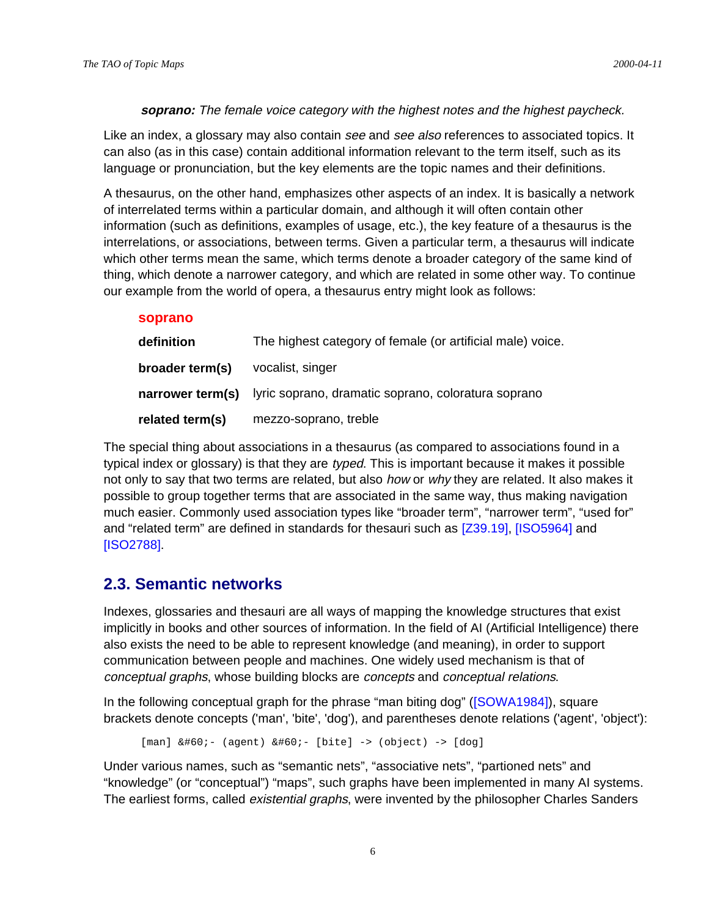#### **soprano:** The female voice category with the highest notes and the highest paycheck.

Like an index, a glossary may also contain see and see also references to associated topics. It can also (as in this case) contain additional information relevant to the term itself, such as its language or pronunciation, but the key elements are the topic names and their definitions.

A thesaurus, on the other hand, emphasizes other aspects of an index. It is basically a network of interrelated terms within a particular domain, and although it will often contain other information (such as definitions, examples of usage, etc.), the key feature of a thesaurus is the interrelations, or associations, between terms. Given a particular term, a thesaurus will indicate which other terms mean the same, which terms denote a broader category of the same kind of thing, which denote a narrower category, and which are related in some other way. To continue our example from the world of opera, a thesaurus entry might look as follows:

#### **soprano**

| definition      | The highest category of female (or artificial male) voice.           |
|-----------------|----------------------------------------------------------------------|
| broader term(s) | vocalist, singer                                                     |
|                 | narrower term(s) lyric soprano, dramatic soprano, coloratura soprano |
| related term(s) | mezzo-soprano, treble                                                |

The special thing about associations in a thesaurus (as compared to associations found in a typical index or glossary) is that they are *typed*. This is important because it makes it possible not only to say that two terms are related, but also *how* or why they are related. It also makes it possible to group together terms that are associated in the same way, thus making navigation much easier. Commonly used association types like "broader term", "narrower term", "used for" and "related term" are defined in standards for thesauri such as [Z39.19], [ISO5964] and [ISO2788].

## **2.3. Semantic networks**

Indexes, glossaries and thesauri are all ways of mapping the knowledge structures that exist implicitly in books and other sources of information. In the field of AI (Artificial Intelligence) there also exists the need to be able to represent knowledge (and meaning), in order to support communication between people and machines. One widely used mechanism is that of conceptual graphs, whose building blocks are concepts and conceptual relations.

In the following conceptual graph for the phrase "man biting dog" ([SOWA1984]), square brackets denote concepts ('man', 'bite', 'dog'), and parentheses denote relations ('agent', 'object'):

```
[man] <- (agent) &#60;- [bite] -> (object) -> [dog]
```
Under various names, such as "semantic nets", "associative nets", "partioned nets" and "knowledge" (or "conceptual") "maps", such graphs have been implemented in many AI systems. The earliest forms, called *existential graphs*, were invented by the philosopher Charles Sanders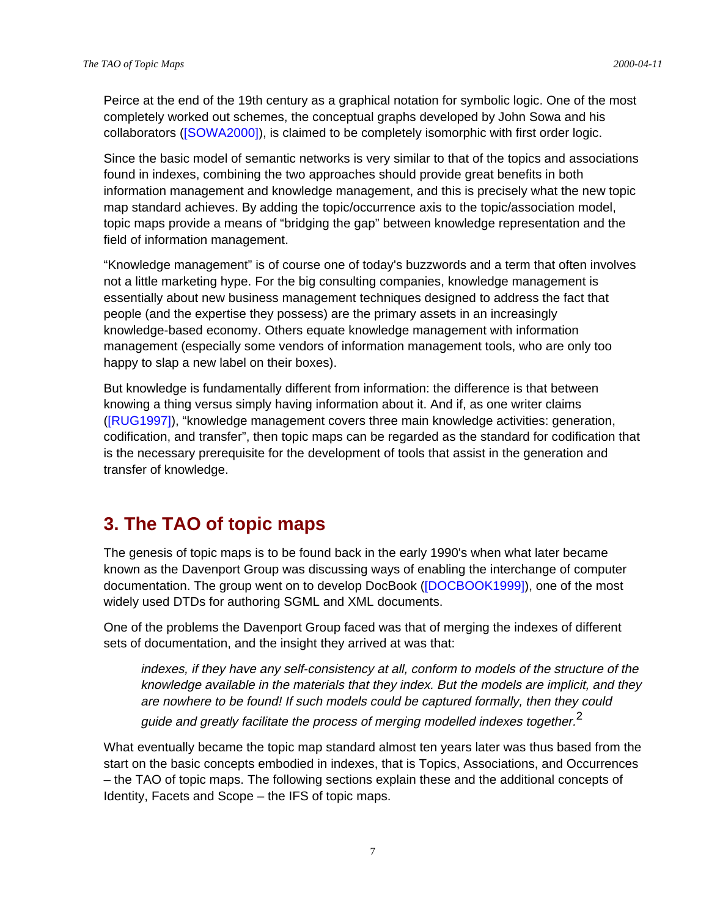Peirce at the end of the 19th century as a graphical notation for symbolic logic. One of the most completely worked out schemes, the conceptual graphs developed by John Sowa and his collaborators ([SOWA2000]), is claimed to be completely isomorphic with first order logic.

Since the basic model of semantic networks is very similar to that of the topics and associations found in indexes, combining the two approaches should provide great benefits in both information management and knowledge management, and this is precisely what the new topic map standard achieves. By adding the topic/occurrence axis to the topic/association model, topic maps provide a means of "bridging the gap" between knowledge representation and the field of information management.

"Knowledge management" is of course one of today's buzzwords and a term that often involves not a little marketing hype. For the big consulting companies, knowledge management is essentially about new business management techniques designed to address the fact that people (and the expertise they possess) are the primary assets in an increasingly knowledge-based economy. Others equate knowledge management with information management (especially some vendors of information management tools, who are only too happy to slap a new label on their boxes).

But knowledge is fundamentally different from information: the difference is that between knowing a thing versus simply having information about it. And if, as one writer claims ([RUG1997]), "knowledge management covers three main knowledge activities: generation, codification, and transfer", then topic maps can be regarded as the standard for codification that is the necessary prerequisite for the development of tools that assist in the generation and transfer of knowledge.

# **3. The TAO of topic maps**

The genesis of topic maps is to be found back in the early 1990's when what later became known as the Davenport Group was discussing ways of enabling the interchange of computer documentation. The group went on to develop DocBook ([DOCBOOK1999]), one of the most widely used DTDs for authoring SGML and XML documents.

One of the problems the Davenport Group faced was that of merging the indexes of different sets of documentation, and the insight they arrived at was that:

indexes, if they have any self-consistency at all, conform to models of the structure of the knowledge available in the materials that they index. But the models are implicit, and they are nowhere to be found! If such models could be captured formally, then they could guide and greatly facilitate the process of merging modelled indexes together.<sup>2</sup>

What eventually became the topic map standard almost ten years later was thus based from the start on the basic concepts embodied in indexes, that is Topics, Associations, and Occurrences – the TAO of topic maps. The following sections explain these and the additional concepts of Identity, Facets and Scope – the IFS of topic maps.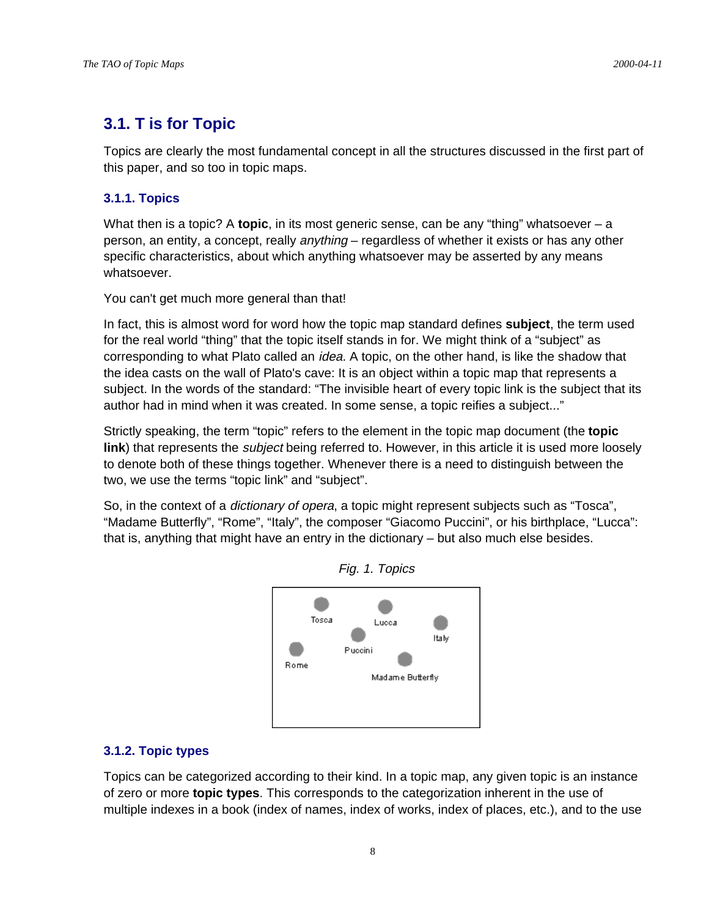# **3.1. T is for Topic**

Topics are clearly the most fundamental concept in all the structures discussed in the first part of this paper, and so too in topic maps.

## **3.1.1. Topics**

What then is a topic? A **topic**, in its most generic sense, can be any "thing" whatsoever – a person, an entity, a concept, really *anything* – regardless of whether it exists or has any other specific characteristics, about which anything whatsoever may be asserted by any means whatsoever.

You can't get much more general than that!

In fact, this is almost word for word how the topic map standard defines **subject**, the term used for the real world "thing" that the topic itself stands in for. We might think of a "subject" as corresponding to what Plato called an *idea*. A topic, on the other hand, is like the shadow that the idea casts on the wall of Plato's cave: It is an object within a topic map that represents a subject. In the words of the standard: "The invisible heart of every topic link is the subject that its author had in mind when it was created. In some sense, a topic reifies a subject..."

Strictly speaking, the term "topic" refers to the element in the topic map document (the **topic link**) that represents the subject being referred to. However, in this article it is used more loosely to denote both of these things together. Whenever there is a need to distinguish between the two, we use the terms "topic link" and "subject".

So, in the context of a *dictionary of opera*, a topic might represent subjects such as "Tosca", "Madame Butterfly", "Rome", "Italy", the composer "Giacomo Puccini", or his birthplace, "Lucca": that is, anything that might have an entry in the dictionary – but also much else besides.





## **3.1.2. Topic types**

Topics can be categorized according to their kind. In a topic map, any given topic is an instance of zero or more **topic types**. This corresponds to the categorization inherent in the use of multiple indexes in a book (index of names, index of works, index of places, etc.), and to the use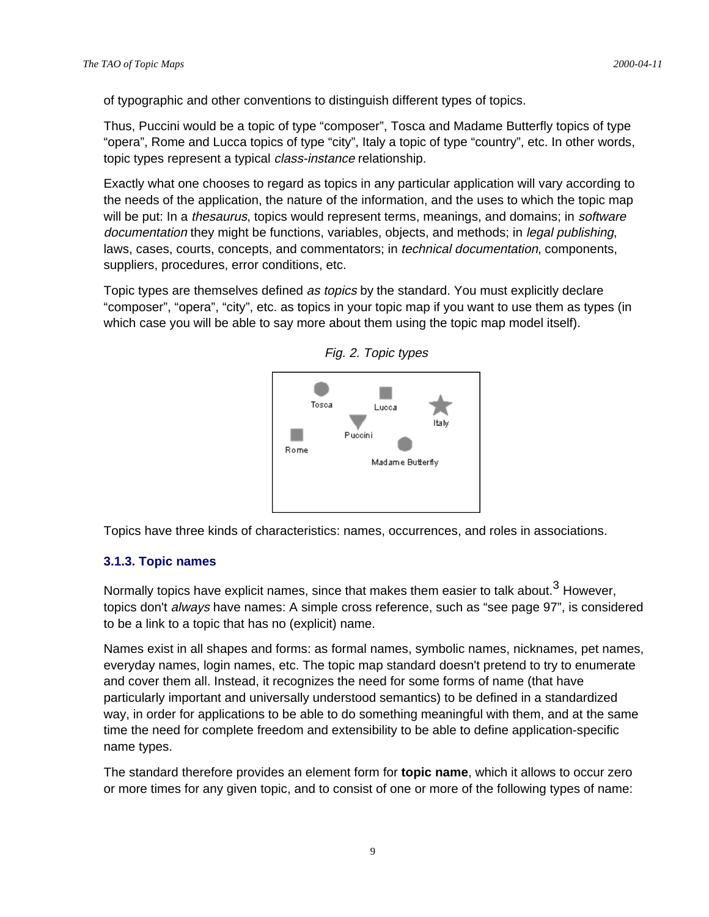of typographic and other conventions to distinguish different types of topics.

Thus, Puccini would be a topic of type "composer", Tosca and Madame Butterfly topics of type "opera", Rome and Lucca topics of type "city", Italy a topic of type "country", etc. In other words, topic types represent a typical class-instance relationship.

Exactly what one chooses to regard as topics in any particular application will vary according to the needs of the application, the nature of the information, and the uses to which the topic map will be put: In a thesaurus, topics would represent terms, meanings, and domains; in software documentation they might be functions, variables, objects, and methods; in *legal publishing*, laws, cases, courts, concepts, and commentators; in *technical documentation*, components, suppliers, procedures, error conditions, etc.

Topic types are themselves defined *as topics* by the standard. You must explicitly declare "composer", "opera", "city", etc. as topics in your topic map if you want to use them as types (in which case you will be able to say more about them using the topic map model itself).





Topics have three kinds of characteristics: names, occurrences, and roles in associations.

#### **3.1.3. Topic names**

Normally topics have explicit names, since that makes them easier to talk about.<sup>3</sup> However, topics don't *always* have names: A simple cross reference, such as "see page 97", is considered to be a link to a topic that has no (explicit) name.

Names exist in all shapes and forms: as formal names, symbolic names, nicknames, pet names, everyday names, login names, etc. The topic map standard doesn't pretend to try to enumerate and cover them all. Instead, it recognizes the need for some forms of name (that have particularly important and universally understood semantics) to be defined in a standardized way, in order for applications to be able to do something meaningful with them, and at the same time the need for complete freedom and extensibility to be able to define application-specific name types.

The standard therefore provides an element form for **topic name**, which it allows to occur zero or more times for any given topic, and to consist of one or more of the following types of name: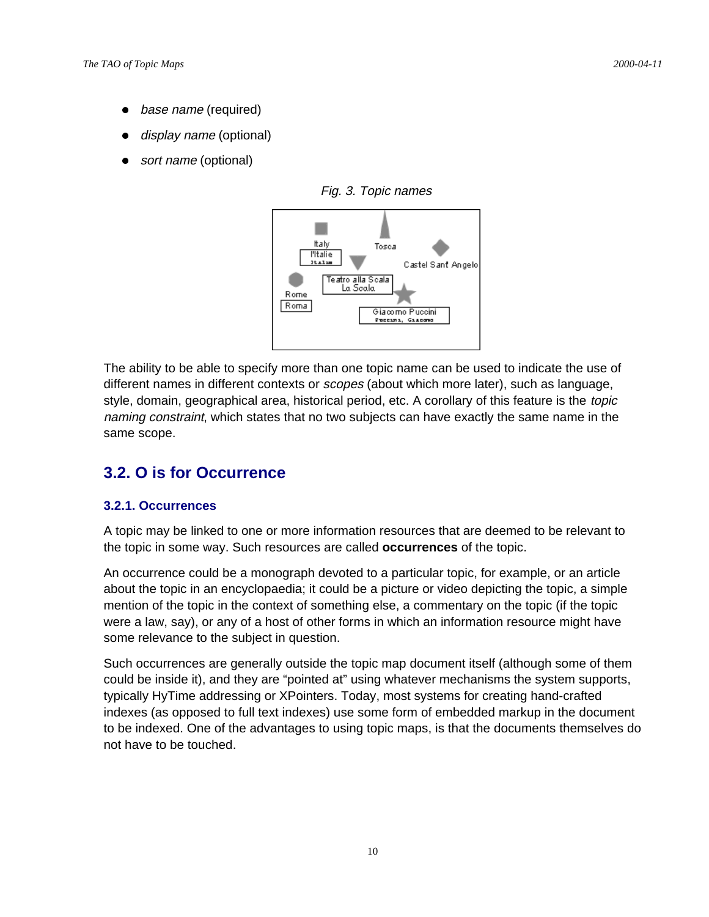- base name (required)
- display name (optional)
- sort name (optional)



Fig. 3. Topic names

The ability to be able to specify more than one topic name can be used to indicate the use of different names in different contexts or *scopes* (about which more later), such as language, style, domain, geographical area, historical period, etc. A corollary of this feature is the topic naming constraint, which states that no two subjects can have exactly the same name in the same scope.

# **3.2. O is for Occurrence**

## **3.2.1. Occurrences**

A topic may be linked to one or more information resources that are deemed to be relevant to the topic in some way. Such resources are called **occurrences** of the topic.

An occurrence could be a monograph devoted to a particular topic, for example, or an article about the topic in an encyclopaedia; it could be a picture or video depicting the topic, a simple mention of the topic in the context of something else, a commentary on the topic (if the topic were a law, say), or any of a host of other forms in which an information resource might have some relevance to the subject in question.

Such occurrences are generally outside the topic map document itself (although some of them could be inside it), and they are "pointed at" using whatever mechanisms the system supports, typically HyTime addressing or XPointers. Today, most systems for creating hand-crafted indexes (as opposed to full text indexes) use some form of embedded markup in the document to be indexed. One of the advantages to using topic maps, is that the documents themselves do not have to be touched.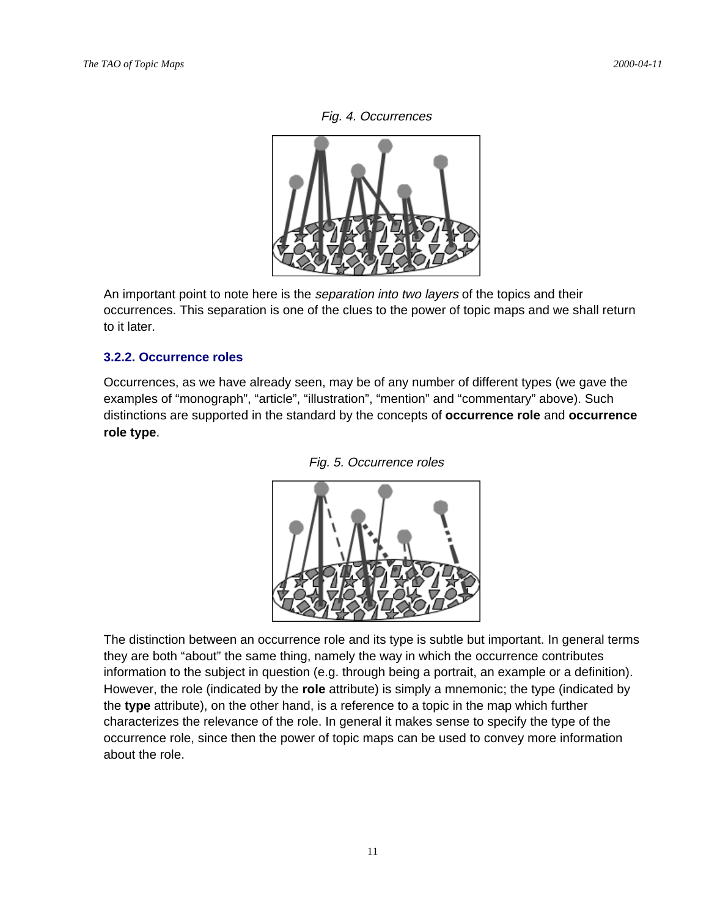



An important point to note here is the *separation into two layers* of the topics and their occurrences. This separation is one of the clues to the power of topic maps and we shall return to it later.

## **3.2.2. Occurrence roles**

Occurrences, as we have already seen, may be of any number of different types (we gave the examples of "monograph", "article", "illustration", "mention" and "commentary" above). Such distinctions are supported in the standard by the concepts of **occurrence role** and **occurrence role type**.





The distinction between an occurrence role and its type is subtle but important. In general terms they are both "about" the same thing, namely the way in which the occurrence contributes information to the subject in question (e.g. through being a portrait, an example or a definition). However, the role (indicated by the **role** attribute) is simply a mnemonic; the type (indicated by the **type** attribute), on the other hand, is a reference to a topic in the map which further characterizes the relevance of the role. In general it makes sense to specify the type of the occurrence role, since then the power of topic maps can be used to convey more information about the role.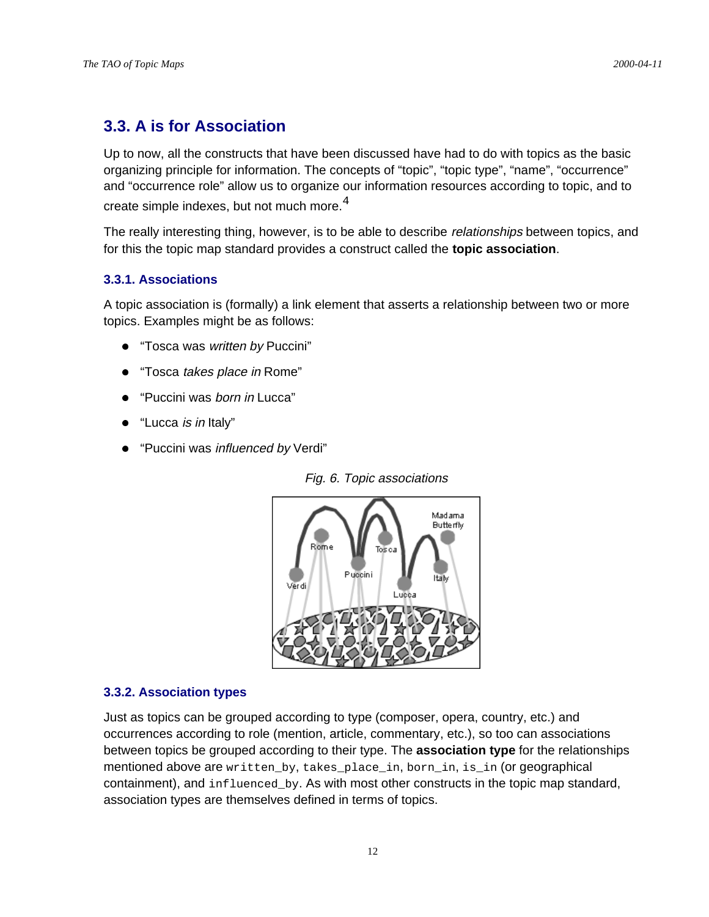# **3.3. A is for Association**

Up to now, all the constructs that have been discussed have had to do with topics as the basic organizing principle for information. The concepts of "topic", "topic type", "name", "occurrence" and "occurrence role" allow us to organize our information resources according to topic, and to

create simple indexes, but not much more.  $4$ 

The really interesting thing, however, is to be able to describe *relationships* between topics, and for this the topic map standard provides a construct called the **topic association**.

## **3.3.1. Associations**

A topic association is (formally) a link element that asserts a relationship between two or more topics. Examples might be as follows:

- "Tosca was written by Puccini"
- "Tosca takes place in Rome"
- "Puccini was born in Lucca"
- "Lucca is in Italy"
- "Puccini was influenced by Verdi"





#### **3.3.2. Association types**

Just as topics can be grouped according to type (composer, opera, country, etc.) and occurrences according to role (mention, article, commentary, etc.), so too can associations between topics be grouped according to their type. The **association type** for the relationships mentioned above are written\_by, takes\_place\_in, born\_in, is\_in (or geographical containment), and influenced\_by. As with most other constructs in the topic map standard, association types are themselves defined in terms of topics.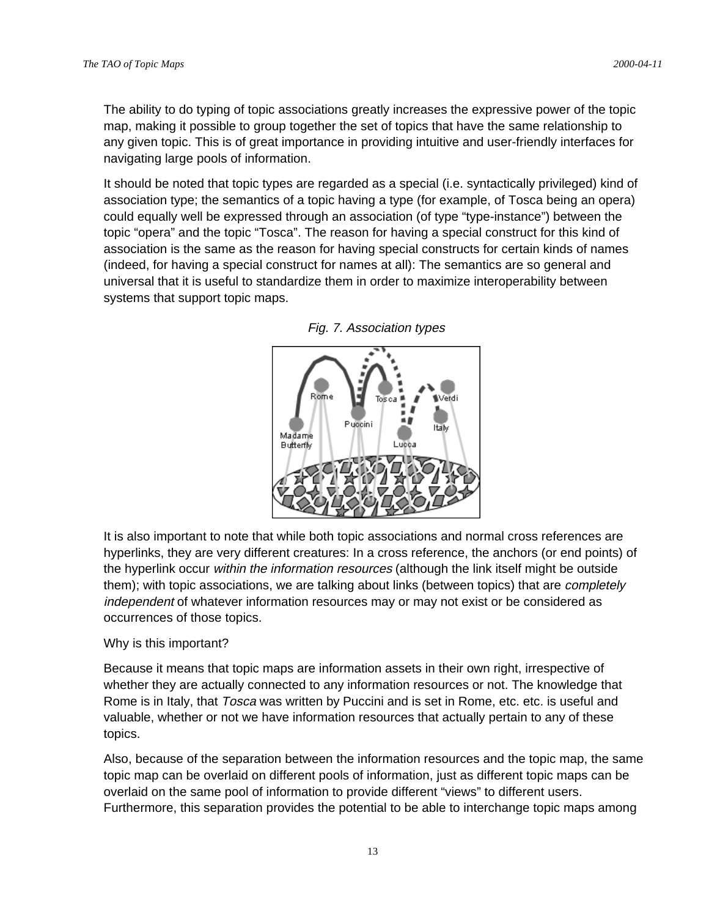The ability to do typing of topic associations greatly increases the expressive power of the topic map, making it possible to group together the set of topics that have the same relationship to any given topic. This is of great importance in providing intuitive and user-friendly interfaces for navigating large pools of information.

It should be noted that topic types are regarded as a special (i.e. syntactically privileged) kind of association type; the semantics of a topic having a type (for example, of Tosca being an opera) could equally well be expressed through an association (of type "type-instance") between the topic "opera" and the topic "Tosca". The reason for having a special construct for this kind of association is the same as the reason for having special constructs for certain kinds of names (indeed, for having a special construct for names at all): The semantics are so general and universal that it is useful to standardize them in order to maximize interoperability between systems that support topic maps.



Fig. 7. Association types

It is also important to note that while both topic associations and normal cross references are hyperlinks, they are very different creatures: In a cross reference, the anchors (or end points) of the hyperlink occur within the information resources (although the link itself might be outside them); with topic associations, we are talking about links (between topics) that are *completely* independent of whatever information resources may or may not exist or be considered as occurrences of those topics.

#### Why is this important?

Because it means that topic maps are information assets in their own right, irrespective of whether they are actually connected to any information resources or not. The knowledge that Rome is in Italy, that Tosca was written by Puccini and is set in Rome, etc. etc. is useful and valuable, whether or not we have information resources that actually pertain to any of these topics.

Also, because of the separation between the information resources and the topic map, the same topic map can be overlaid on different pools of information, just as different topic maps can be overlaid on the same pool of information to provide different "views" to different users. Furthermore, this separation provides the potential to be able to interchange topic maps among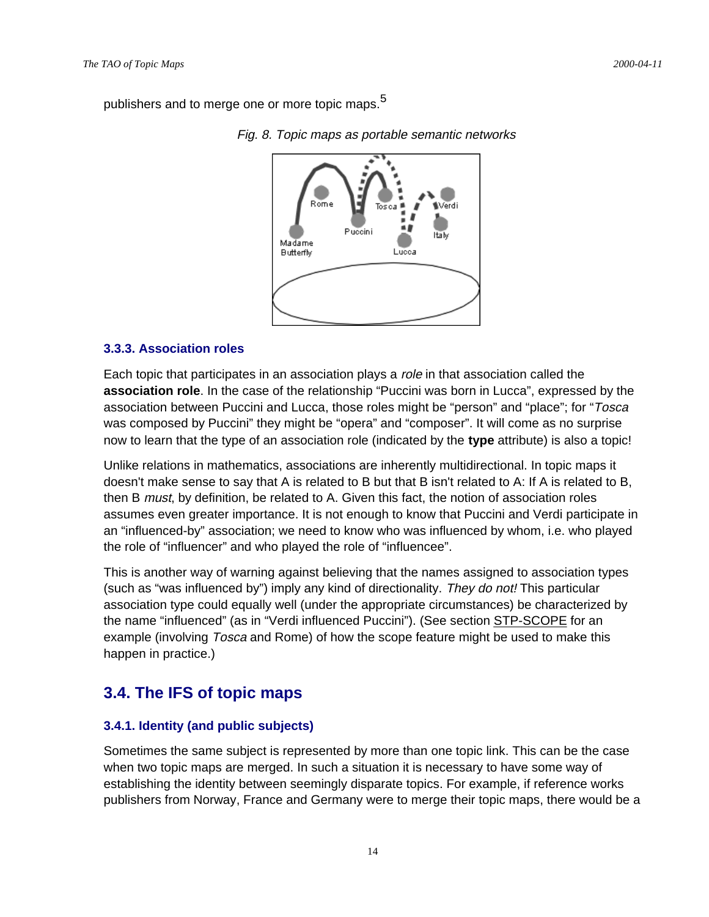publishers and to merge one or more topic maps.<sup>5</sup>



Fig. 8. Topic maps as portable semantic networks

#### **3.3.3. Association roles**

Each topic that participates in an association plays a role in that association called the **association role**. In the case of the relationship "Puccini was born in Lucca", expressed by the association between Puccini and Lucca, those roles might be "person" and "place"; for "Tosca was composed by Puccini" they might be "opera" and "composer". It will come as no surprise now to learn that the type of an association role (indicated by the **type** attribute) is also a topic!

Unlike relations in mathematics, associations are inherently multidirectional. In topic maps it doesn't make sense to say that A is related to B but that B isn't related to A: If A is related to B, then B *must*, by definition, be related to A. Given this fact, the notion of association roles assumes even greater importance. It is not enough to know that Puccini and Verdi participate in an "influenced-by" association; we need to know who was influenced by whom, i.e. who played the role of "influencer" and who played the role of "influencee".

This is another way of warning against believing that the names assigned to association types (such as "was influenced by") imply any kind of directionality. They do not! This particular association type could equally well (under the appropriate circumstances) be characterized by the name "influenced" (as in "Verdi influenced Puccini"). (See section STP-SCOPE for an example (involving Tosca and Rome) of how the scope feature might be used to make this happen in practice.)

# **3.4. The IFS of topic maps**

## **3.4.1. Identity (and public subjects)**

Sometimes the same subject is represented by more than one topic link. This can be the case when two topic maps are merged. In such a situation it is necessary to have some way of establishing the identity between seemingly disparate topics. For example, if reference works publishers from Norway, France and Germany were to merge their topic maps, there would be a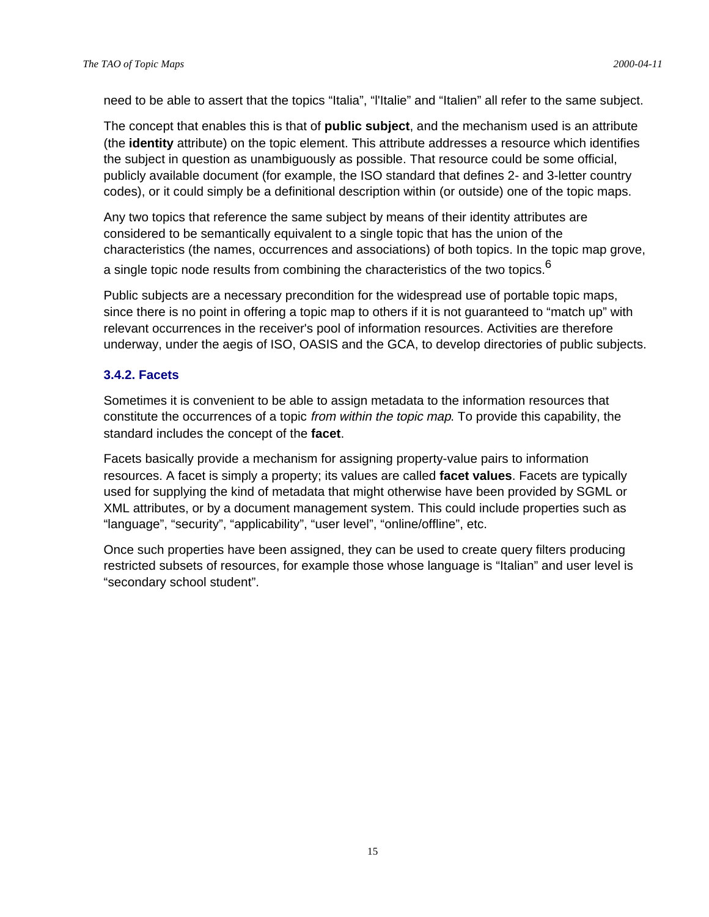need to be able to assert that the topics "Italia", "l'Italie" and "Italien" all refer to the same subject.

The concept that enables this is that of **public subject**, and the mechanism used is an attribute (the **identity** attribute) on the topic element. This attribute addresses a resource which identifies the subject in question as unambiguously as possible. That resource could be some official, publicly available document (for example, the ISO standard that defines 2- and 3-letter country codes), or it could simply be a definitional description within (or outside) one of the topic maps.

Any two topics that reference the same subject by means of their identity attributes are considered to be semantically equivalent to a single topic that has the union of the characteristics (the names, occurrences and associations) of both topics. In the topic map grove, a single topic node results from combining the characteristics of the two topics. $6$ 

Public subjects are a necessary precondition for the widespread use of portable topic maps, since there is no point in offering a topic map to others if it is not guaranteed to "match up" with relevant occurrences in the receiver's pool of information resources. Activities are therefore underway, under the aegis of ISO, OASIS and the GCA, to develop directories of public subjects.

## **3.4.2. Facets**

Sometimes it is convenient to be able to assign metadata to the information resources that constitute the occurrences of a topic from within the topic map. To provide this capability, the standard includes the concept of the **facet**.

Facets basically provide a mechanism for assigning property-value pairs to information resources. A facet is simply a property; its values are called **facet values**. Facets are typically used for supplying the kind of metadata that might otherwise have been provided by SGML or XML attributes, or by a document management system. This could include properties such as "language", "security", "applicability", "user level", "online/offline", etc.

Once such properties have been assigned, they can be used to create query filters producing restricted subsets of resources, for example those whose language is "Italian" and user level is "secondary school student".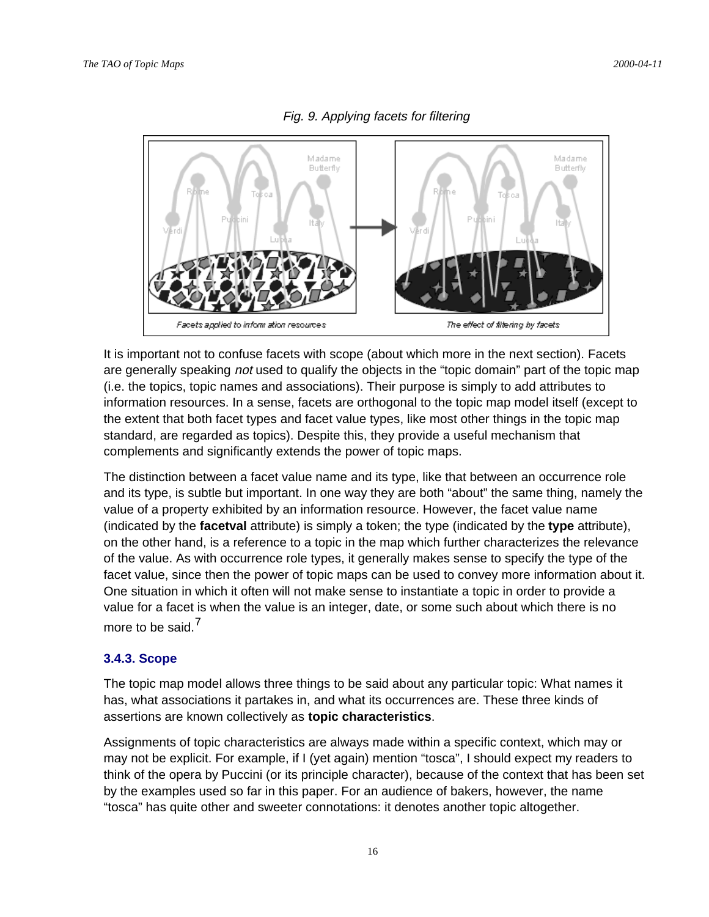

#### Fig. 9. Applying facets for filtering

It is important not to confuse facets with scope (about which more in the next section). Facets are generally speaking *not* used to qualify the objects in the "topic domain" part of the topic map (i.e. the topics, topic names and associations). Their purpose is simply to add attributes to information resources. In a sense, facets are orthogonal to the topic map model itself (except to the extent that both facet types and facet value types, like most other things in the topic map standard, are regarded as topics). Despite this, they provide a useful mechanism that complements and significantly extends the power of topic maps.

The distinction between a facet value name and its type, like that between an occurrence role and its type, is subtle but important. In one way they are both "about" the same thing, namely the value of a property exhibited by an information resource. However, the facet value name (indicated by the **facetval** attribute) is simply a token; the type (indicated by the **type** attribute), on the other hand, is a reference to a topic in the map which further characterizes the relevance of the value. As with occurrence role types, it generally makes sense to specify the type of the facet value, since then the power of topic maps can be used to convey more information about it. One situation in which it often will not make sense to instantiate a topic in order to provide a value for a facet is when the value is an integer, date, or some such about which there is no more to be said.<sup>7</sup>

#### **3.4.3. Scope**

The topic map model allows three things to be said about any particular topic: What names it has, what associations it partakes in, and what its occurrences are. These three kinds of assertions are known collectively as **topic characteristics**.

Assignments of topic characteristics are always made within a specific context, which may or may not be explicit. For example, if I (yet again) mention "tosca", I should expect my readers to think of the opera by Puccini (or its principle character), because of the context that has been set by the examples used so far in this paper. For an audience of bakers, however, the name "tosca" has quite other and sweeter connotations: it denotes another topic altogether.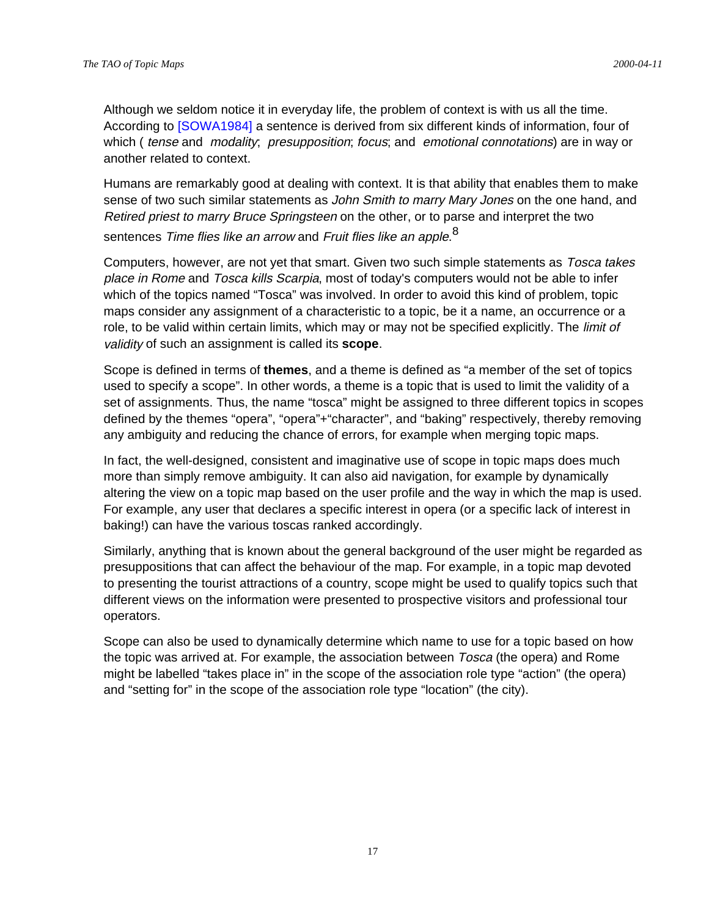Although we seldom notice it in everyday life, the problem of context is with us all the time. According to [SOWA1984] a sentence is derived from six different kinds of information, four of which ( tense and modality; presupposition; focus; and emotional connotations) are in way or another related to context.

Humans are remarkably good at dealing with context. It is that ability that enables them to make sense of two such similar statements as John Smith to marry Mary Jones on the one hand, and Retired priest to marry Bruce Springsteen on the other, or to parse and interpret the two sentences *Time flies like an arrow* and *Fruit flies like an apple*.  $^8$ 

Computers, however, are not yet that smart. Given two such simple statements as *Tosca takes* place in Rome and Tosca kills Scarpia, most of today's computers would not be able to infer which of the topics named "Tosca" was involved. In order to avoid this kind of problem, topic maps consider any assignment of a characteristic to a topic, be it a name, an occurrence or a role, to be valid within certain limits, which may or may not be specified explicitly. The *limit of* validity of such an assignment is called its **scope**.

Scope is defined in terms of **themes**, and a theme is defined as "a member of the set of topics used to specify a scope". In other words, a theme is a topic that is used to limit the validity of a set of assignments. Thus, the name "tosca" might be assigned to three different topics in scopes defined by the themes "opera", "opera"+"character", and "baking" respectively, thereby removing any ambiguity and reducing the chance of errors, for example when merging topic maps.

In fact, the well-designed, consistent and imaginative use of scope in topic maps does much more than simply remove ambiguity. It can also aid navigation, for example by dynamically altering the view on a topic map based on the user profile and the way in which the map is used. For example, any user that declares a specific interest in opera (or a specific lack of interest in baking!) can have the various toscas ranked accordingly.

Similarly, anything that is known about the general background of the user might be regarded as presuppositions that can affect the behaviour of the map. For example, in a topic map devoted to presenting the tourist attractions of a country, scope might be used to qualify topics such that different views on the information were presented to prospective visitors and professional tour operators.

Scope can also be used to dynamically determine which name to use for a topic based on how the topic was arrived at. For example, the association between Tosca (the opera) and Rome might be labelled "takes place in" in the scope of the association role type "action" (the opera) and "setting for" in the scope of the association role type "location" (the city).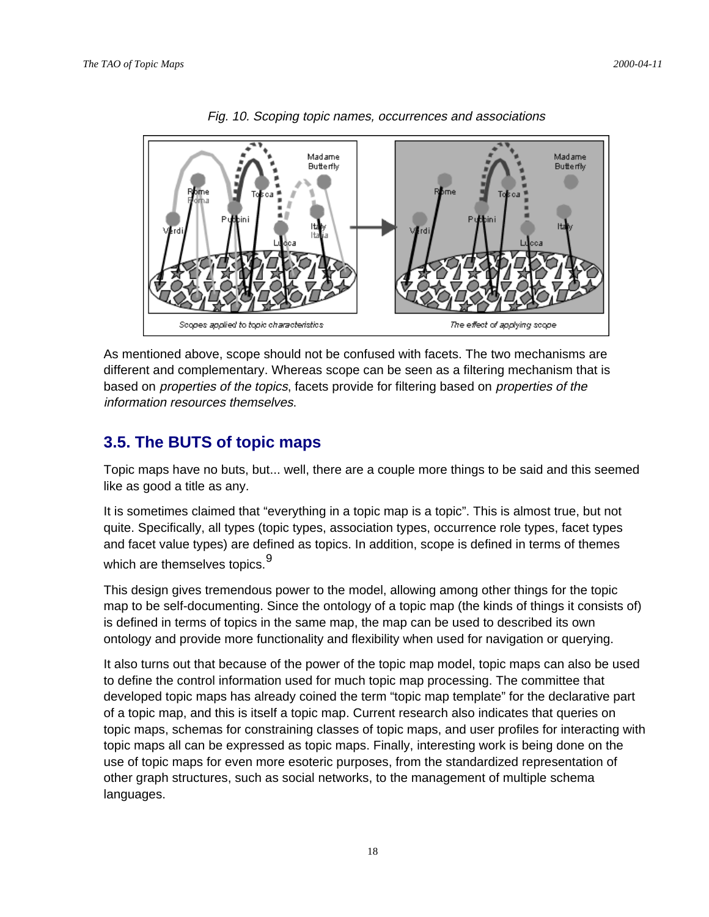

The effect of applying scope

Fig. 10. Scoping topic names, occurrences and associations

As mentioned above, scope should not be confused with facets. The two mechanisms are different and complementary. Whereas scope can be seen as a filtering mechanism that is based on properties of the topics, facets provide for filtering based on properties of the information resources themselves.

# **3.5. The BUTS of topic maps**

Scopes applied to topic characteristics

Topic maps have no buts, but... well, there are a couple more things to be said and this seemed like as good a title as any.

It is sometimes claimed that "everything in a topic map is a topic". This is almost true, but not quite. Specifically, all types (topic types, association types, occurrence role types, facet types and facet value types) are defined as topics. In addition, scope is defined in terms of themes which are themselves topics.<sup>9</sup>

This design gives tremendous power to the model, allowing among other things for the topic map to be self-documenting. Since the ontology of a topic map (the kinds of things it consists of) is defined in terms of topics in the same map, the map can be used to described its own ontology and provide more functionality and flexibility when used for navigation or querying.

It also turns out that because of the power of the topic map model, topic maps can also be used to define the control information used for much topic map processing. The committee that developed topic maps has already coined the term "topic map template" for the declarative part of a topic map, and this is itself a topic map. Current research also indicates that queries on topic maps, schemas for constraining classes of topic maps, and user profiles for interacting with topic maps all can be expressed as topic maps. Finally, interesting work is being done on the use of topic maps for even more esoteric purposes, from the standardized representation of other graph structures, such as social networks, to the management of multiple schema languages.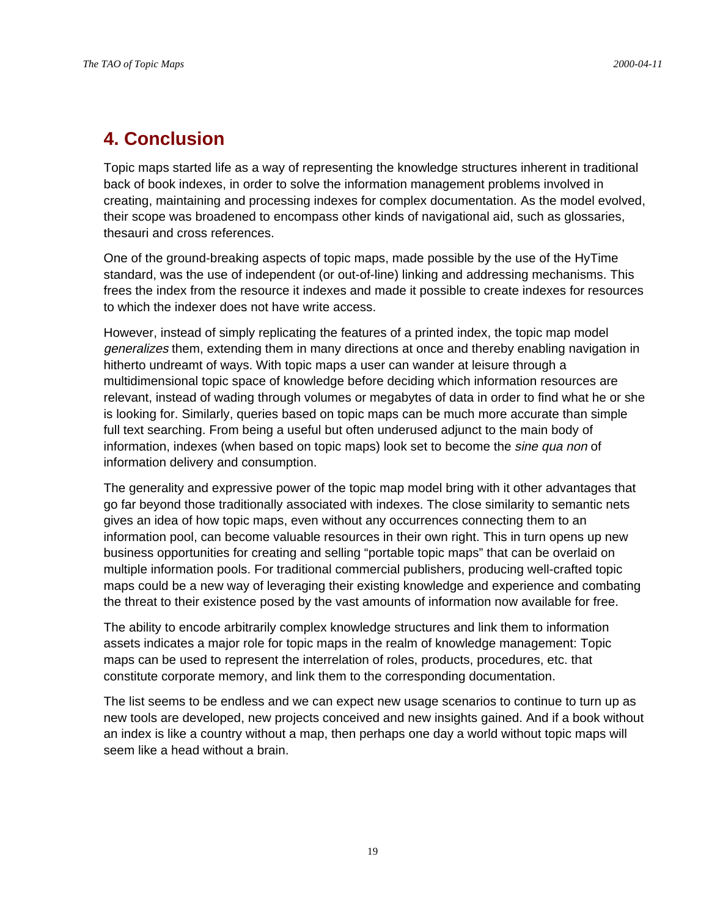# **4. Conclusion**

Topic maps started life as a way of representing the knowledge structures inherent in traditional back of book indexes, in order to solve the information management problems involved in creating, maintaining and processing indexes for complex documentation. As the model evolved, their scope was broadened to encompass other kinds of navigational aid, such as glossaries, thesauri and cross references.

One of the ground-breaking aspects of topic maps, made possible by the use of the HyTime standard, was the use of independent (or out-of-line) linking and addressing mechanisms. This frees the index from the resource it indexes and made it possible to create indexes for resources to which the indexer does not have write access.

However, instead of simply replicating the features of a printed index, the topic map model generalizes them, extending them in many directions at once and thereby enabling navigation in hitherto undreamt of ways. With topic maps a user can wander at leisure through a multidimensional topic space of knowledge before deciding which information resources are relevant, instead of wading through volumes or megabytes of data in order to find what he or she is looking for. Similarly, queries based on topic maps can be much more accurate than simple full text searching. From being a useful but often underused adjunct to the main body of information, indexes (when based on topic maps) look set to become the *sine qua non* of information delivery and consumption.

The generality and expressive power of the topic map model bring with it other advantages that go far beyond those traditionally associated with indexes. The close similarity to semantic nets gives an idea of how topic maps, even without any occurrences connecting them to an information pool, can become valuable resources in their own right. This in turn opens up new business opportunities for creating and selling "portable topic maps" that can be overlaid on multiple information pools. For traditional commercial publishers, producing well-crafted topic maps could be a new way of leveraging their existing knowledge and experience and combating the threat to their existence posed by the vast amounts of information now available for free.

The ability to encode arbitrarily complex knowledge structures and link them to information assets indicates a major role for topic maps in the realm of knowledge management: Topic maps can be used to represent the interrelation of roles, products, procedures, etc. that constitute corporate memory, and link them to the corresponding documentation.

The list seems to be endless and we can expect new usage scenarios to continue to turn up as new tools are developed, new projects conceived and new insights gained. And if a book without an index is like a country without a map, then perhaps one day a world without topic maps will seem like a head without a brain.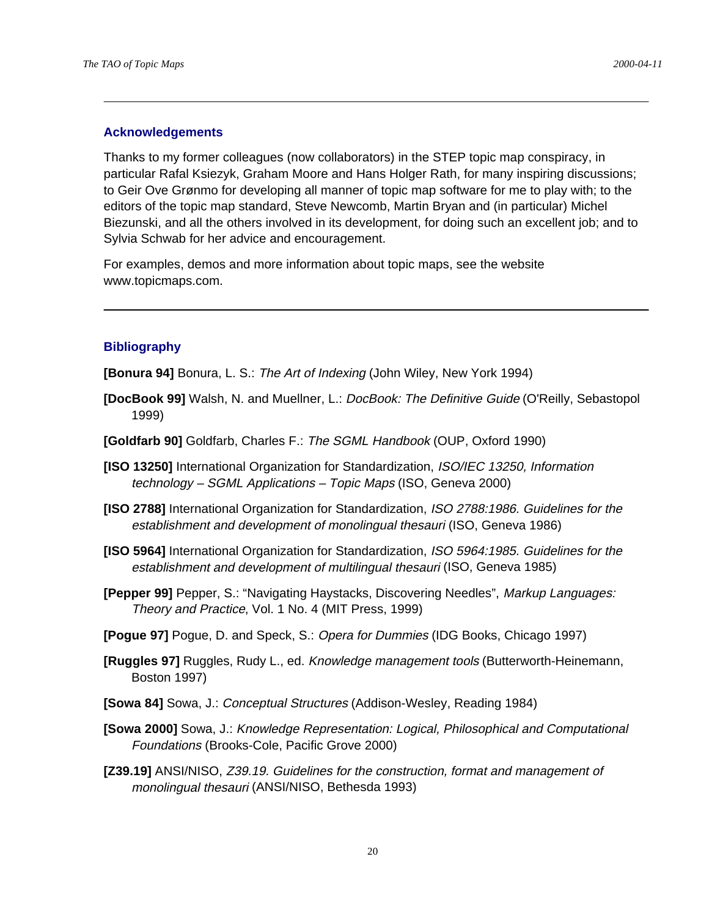#### **Acknowledgements**

Thanks to my former colleagues (now collaborators) in the STEP topic map conspiracy, in particular Rafal Ksiezyk, Graham Moore and Hans Holger Rath, for many inspiring discussions; to Geir Ove Grønmo for developing all manner of topic map software for me to play with; to the editors of the topic map standard, Steve Newcomb, Martin Bryan and (in particular) Michel Biezunski, and all the others involved in its development, for doing such an excellent job; and to Sylvia Schwab for her advice and encouragement.

For examples, demos and more information about topic maps, see the website www.topicmaps.com.

#### **Bibliography**

**[Bonura 94]** Bonura, L. S.: The Art of Indexing (John Wiley, New York 1994)

- **[DocBook 99]** Walsh, N. and Muellner, L.: DocBook: The Definitive Guide (O'Reilly, Sebastopol 1999)
- **[Goldfarb 90]** Goldfarb, Charles F.: The SGML Handbook (OUP, Oxford 1990)
- **[ISO 13250]** International Organization for Standardization, ISO/IEC 13250, Information technology – SGML Applications – Topic Maps (ISO, Geneva 2000)
- **[ISO 2788]** International Organization for Standardization, ISO 2788:1986. Guidelines for the establishment and development of monolingual thesauri (ISO, Geneva 1986)
- **[ISO 5964]** International Organization for Standardization, ISO 5964:1985. Guidelines for the establishment and development of multilingual thesauri (ISO, Geneva 1985)
- **[Pepper 99]** Pepper, S.: "Navigating Haystacks, Discovering Needles", Markup Languages: Theory and Practice, Vol. 1 No. 4 (MIT Press, 1999)
- **[Pogue 97]** Pogue, D. and Speck, S.: Opera for Dummies (IDG Books, Chicago 1997)
- **[Ruggles 97]** Ruggles, Rudy L., ed. Knowledge management tools (Butterworth-Heinemann, Boston 1997)
- **[Sowa 84]** Sowa, J.: Conceptual Structures (Addison-Wesley, Reading 1984)
- **[Sowa 2000]** Sowa, J.: Knowledge Representation: Logical, Philosophical and Computational Foundations (Brooks-Cole, Pacific Grove 2000)
- **[Z39.19]** ANSI/NISO, Z39.19. Guidelines for the construction, format and management of monolingual thesauri (ANSI/NISO, Bethesda 1993)